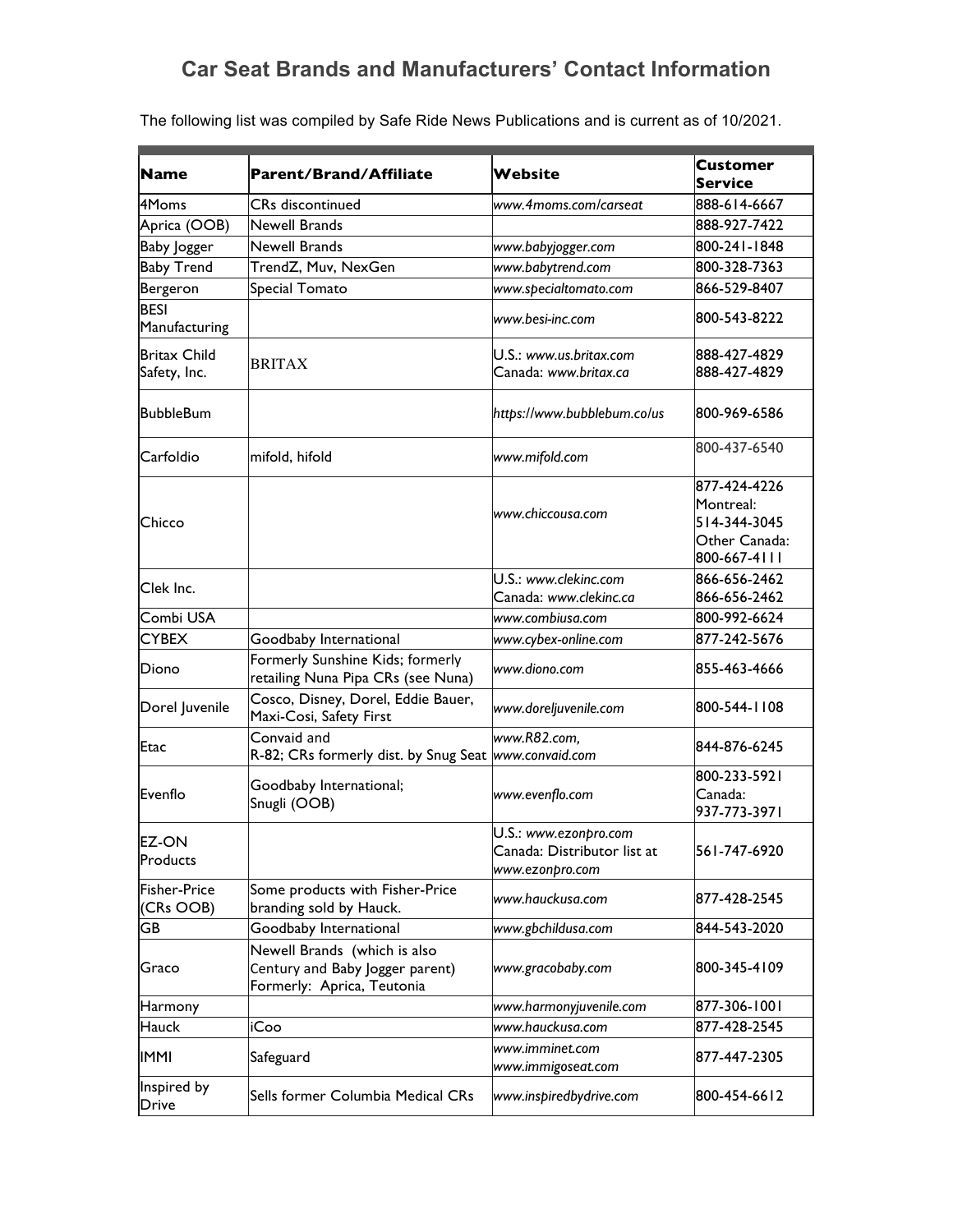## **Car Seat Brands and Manufacturers' Contact Information**

| <b>Name</b>                         | <b>Parent/Brand/Affiliate</b>                                                                 | Website                                                                 | Customer<br><b>Service</b>                                                 |
|-------------------------------------|-----------------------------------------------------------------------------------------------|-------------------------------------------------------------------------|----------------------------------------------------------------------------|
| 4Moms                               | <b>CRs</b> discontinued                                                                       | www.4moms.com/carseat                                                   | 888-614-6667                                                               |
| Aprica (OOB)                        | <b>Newell Brands</b>                                                                          |                                                                         | 888-927-7422                                                               |
| <b>Baby Jogger</b>                  | <b>Newell Brands</b>                                                                          | www.babyjogger.com                                                      | 800-241-1848                                                               |
| <b>Baby Trend</b>                   | TrendZ, Muv, NexGen                                                                           | www.babytrend.com                                                       | 800-328-7363                                                               |
|                                     |                                                                                               |                                                                         | 866-529-8407                                                               |
| Bergeron<br><b>BESI</b>             | Special Tomato                                                                                | www.specialtomato.com                                                   |                                                                            |
| Manufacturing                       |                                                                                               | www.besi-inc.com                                                        | 800-543-8222                                                               |
| <b>Britax Child</b><br>Safety, Inc. | <b>BRITAX</b>                                                                                 | U.S.: www.us.britax.com<br>Canada: www.britax.ca                        | 888-427-4829<br>888-427-4829                                               |
| <b>BubbleBum</b>                    |                                                                                               | https://www.bubblebum.co/us                                             | 800-969-6586                                                               |
| Carfoldio                           | mifold, hifold                                                                                | www.mifold.com                                                          | 800-437-6540                                                               |
| <b>Chicco</b>                       |                                                                                               | www.chiccousa.com                                                       | 877-424-4226<br>Montreal:<br>514-344-3045<br>Other Canada:<br>800-667-4111 |
| Clek Inc.                           |                                                                                               | U.S.: www.clekinc.com                                                   | 866-656-2462                                                               |
|                                     |                                                                                               | Canada: www.clekinc.ca                                                  | 866-656-2462                                                               |
| Combi USA                           |                                                                                               | www.combiusa.com                                                        | 800-992-6624                                                               |
| <b>CYBEX</b>                        | Goodbaby International                                                                        | www.cybex-online.com                                                    | 877-242-5676                                                               |
| Diono                               | Formerly Sunshine Kids; formerly<br>retailing Nuna Pipa CRs (see Nuna)                        | www.diono.com                                                           | 855-463-4666                                                               |
| Dorel Juvenile                      | Cosco, Disney, Dorel, Eddie Bauer,<br>Maxi-Cosi, Safety First                                 | www.doreljuvenile.com                                                   | 800-544-1108                                                               |
| Etac                                | Convaid and<br>R-82; CRs formerly dist. by Snug Seat  www.convaid.com                         | www.R82.com,                                                            | 844-876-6245                                                               |
|                                     |                                                                                               |                                                                         | 800-233-5921                                                               |
| Evenflo                             | Goodbaby International;<br>Snugli (OOB)                                                       | www.evenflo.com                                                         | Canada:<br>937-773-3971                                                    |
| <b>EZ-ON</b><br>Products            |                                                                                               | U.S.: www.ezonpro.com<br>Canada: Distributor list at<br>www.ezonpro.com | 561-747-6920                                                               |
| Fisher-Price<br>(CRs OOB)           | Some products with Fisher-Price<br>branding sold by Hauck.                                    | www.hauckusa.com                                                        | 877-428-2545                                                               |
| GB                                  | Goodbaby International                                                                        | www.gbchildusa.com                                                      | 844-543-2020                                                               |
| Graco                               | Newell Brands (which is also<br>Century and Baby Jogger parent)<br>Formerly: Aprica, Teutonia | www.gracobaby.com                                                       | 800-345-4109                                                               |
| Harmony                             |                                                                                               | www.harmonyjuvenile.com                                                 | 877-306-1001                                                               |
| Hauck                               | iCoo                                                                                          | www.hauckusa.com                                                        | 877-428-2545                                                               |
| <b>IMMI</b>                         | Safeguard                                                                                     | www.imminet.com<br>www.immigoseat.com                                   | 877-447-2305                                                               |
| Inspired by<br>Drive                | Sells former Columbia Medical CRs                                                             | www.inspiredbydrive.com                                                 | 800-454-6612                                                               |

The following list was compiled by Safe Ride News Publications and is current as of 10/2021.